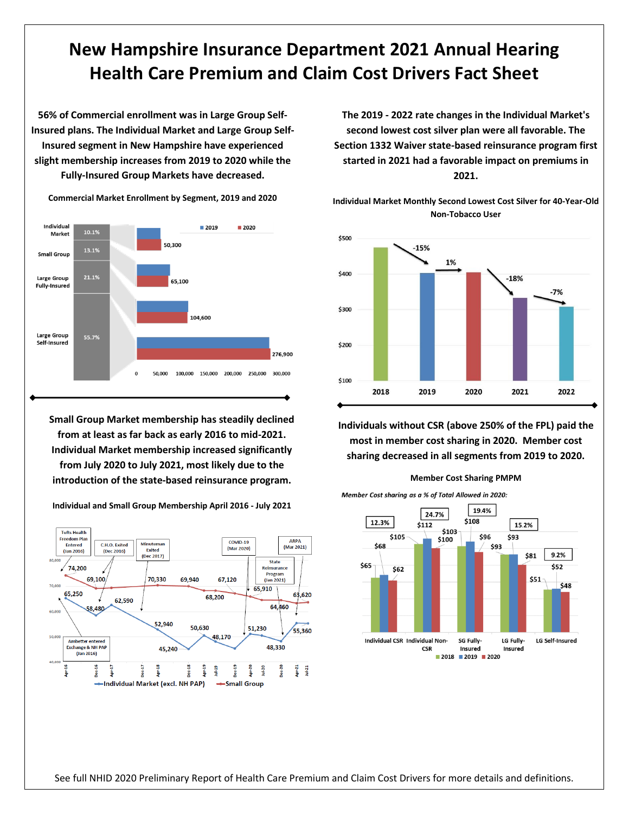## **New Hampshire Insurance Department 2021 Annual Hearing Health Care Premium and Claim Cost Drivers Fact Sheet**

**56% of Commercial enrollment was in Large Group Self-Insured plans. The Individual Market and Large Group Self-Insured segment in New Hampshire have experienced slight membership increases from 2019 to 2020 while the Fully-Insured Group Markets have decreased.**



**Commercial Market Enrollment by Segment, 2019 and 2020**

**Small Group Market membership has steadily declined from at least as far back as early 2016 to mid-2021. Individual Market membership increased significantly from July 2020 to July 2021, most likely due to the introduction of the state-based reinsurance program.**



**Individual and Small Group Membership April 2016 - July 2021**

**The 2019 - 2022 rate changes in the Individual Market's second lowest cost silver plan were all favorable. The Section 1332 Waiver state-based reinsurance program first started in 2021 had a favorable impact on premiums in 2021.**

**Individual Market Monthly Second Lowest Cost Silver for 40-Year-Old Non-Tobacco User**



**Individuals without CSR (above 250% of the FPL) paid the most in member cost sharing in 2020. Member cost sharing decreased in all segments from 2019 to 2020.**







See full NHID 2020 Preliminary Report of Health Care Premium and Claim Cost Drivers for more details and definitions.